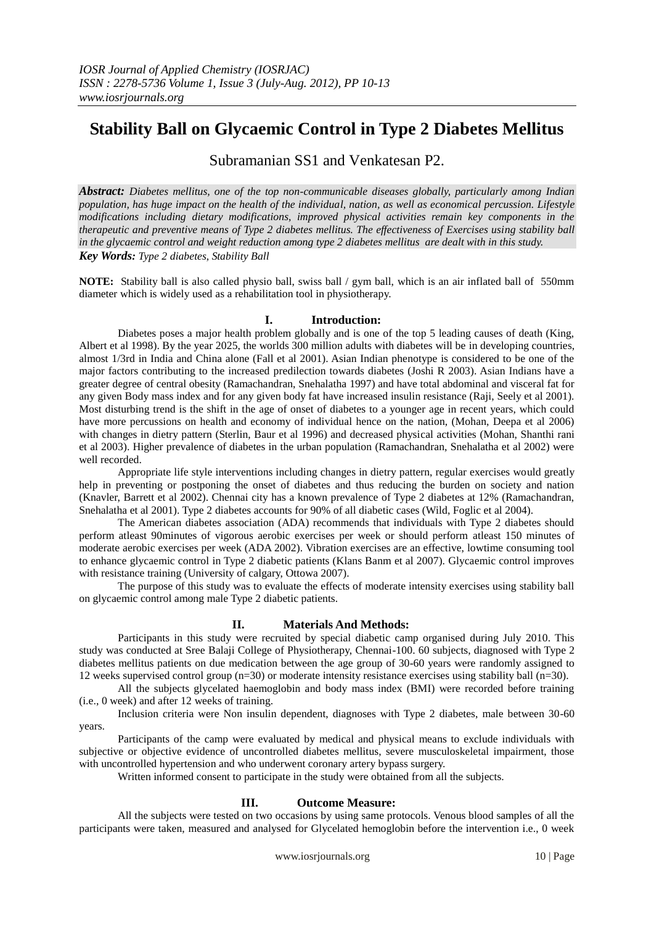# **Stability Ball on Glycaemic Control in Type 2 Diabetes Mellitus**

Subramanian SS1 and Venkatesan P2.

*Abstract: Diabetes mellitus, one of the top non-communicable diseases globally, particularly among Indian population, has huge impact on the health of the individual, nation, as well as economical percussion. Lifestyle modifications including dietary modifications, improved physical activities remain key components in the therapeutic and preventive means of Type 2 diabetes mellitus. The effectiveness of Exercises using stability ball in the glycaemic control and weight reduction among type 2 diabetes mellitus are dealt with in this study. Key Words: Type 2 diabetes, Stability Ball*

**NOTE:** Stability ball is also called physio ball, swiss ball / gym ball, which is an air inflated ball of 550mm diameter which is widely used as a rehabilitation tool in physiotherapy.

# **I. Introduction:**

Diabetes poses a major health problem globally and is one of the top 5 leading causes of death (King, Albert et al 1998). By the year 2025, the worlds 300 million adults with diabetes will be in developing countries, almost 1/3rd in India and China alone (Fall et al 2001). Asian Indian phenotype is considered to be one of the major factors contributing to the increased predilection towards diabetes (Joshi R 2003). Asian Indians have a greater degree of central obesity (Ramachandran, Snehalatha 1997) and have total abdominal and visceral fat for any given Body mass index and for any given body fat have increased insulin resistance (Raji, Seely et al 2001). Most disturbing trend is the shift in the age of onset of diabetes to a younger age in recent years, which could have more percussions on health and economy of individual hence on the nation, (Mohan, Deepa et al 2006) with changes in dietry pattern (Sterlin, Baur et al 1996) and decreased physical activities (Mohan, Shanthi rani et al 2003). Higher prevalence of diabetes in the urban population (Ramachandran, Snehalatha et al 2002) were well recorded.

Appropriate life style interventions including changes in dietry pattern, regular exercises would greatly help in preventing or postponing the onset of diabetes and thus reducing the burden on society and nation (Knavler, Barrett et al 2002). Chennai city has a known prevalence of Type 2 diabetes at 12% (Ramachandran, Snehalatha et al 2001). Type 2 diabetes accounts for 90% of all diabetic cases (Wild, Foglic et al 2004).

The American diabetes association (ADA) recommends that individuals with Type 2 diabetes should perform atleast 90minutes of vigorous aerobic exercises per week or should perform atleast 150 minutes of moderate aerobic exercises per week (ADA 2002). Vibration exercises are an effective, lowtime consuming tool to enhance glycaemic control in Type 2 diabetic patients (Klans Banm et al 2007). Glycaemic control improves with resistance training (University of calgary, Ottowa 2007).

The purpose of this study was to evaluate the effects of moderate intensity exercises using stability ball on glycaemic control among male Type 2 diabetic patients.

# **II. Materials And Methods:**

Participants in this study were recruited by special diabetic camp organised during July 2010. This study was conducted at Sree Balaji College of Physiotherapy, Chennai-100. 60 subjects, diagnosed with Type 2 diabetes mellitus patients on due medication between the age group of 30-60 years were randomly assigned to 12 weeks supervised control group (n=30) or moderate intensity resistance exercises using stability ball (n=30).

All the subjects glycelated haemoglobin and body mass index (BMI) were recorded before training (i.e., 0 week) and after 12 weeks of training.

Inclusion criteria were Non insulin dependent, diagnoses with Type 2 diabetes, male between 30-60 years.

Participants of the camp were evaluated by medical and physical means to exclude individuals with subjective or objective evidence of uncontrolled diabetes mellitus, severe musculoskeletal impairment, those with uncontrolled hypertension and who underwent coronary artery bypass surgery.

Written informed consent to participate in the study were obtained from all the subjects.

# **III. Outcome Measure:**

All the subjects were tested on two occasions by using same protocols. Venous blood samples of all the participants were taken, measured and analysed for Glycelated hemoglobin before the intervention i.e., 0 week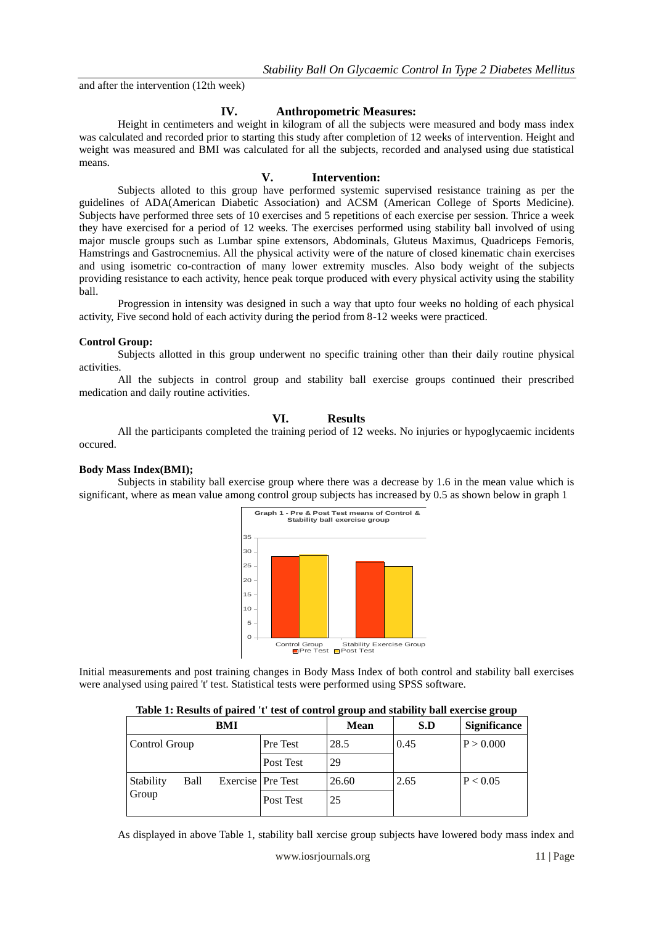and after the intervention (12th week)

# **IV. Anthropometric Measures:**

Height in centimeters and weight in kilogram of all the subjects were measured and body mass index was calculated and recorded prior to starting this study after completion of 12 weeks of intervention. Height and weight was measured and BMI was calculated for all the subjects, recorded and analysed using due statistical means.

## **V. Intervention:**

Subjects alloted to this group have performed systemic supervised resistance training as per the guidelines of ADA(American Diabetic Association) and ACSM (American College of Sports Medicine). Subjects have performed three sets of 10 exercises and 5 repetitions of each exercise per session. Thrice a week they have exercised for a period of 12 weeks. The exercises performed using stability ball involved of using major muscle groups such as Lumbar spine extensors, Abdominals, Gluteus Maximus, Quadriceps Femoris, Hamstrings and Gastrocnemius. All the physical activity were of the nature of closed kinematic chain exercises and using isometric co-contraction of many lower extremity muscles. Also body weight of the subjects providing resistance to each activity, hence peak torque produced with every physical activity using the stability ball.

Progression in intensity was designed in such a way that upto four weeks no holding of each physical activity, Five second hold of each activity during the period from 8-12 weeks were practiced.

## **Control Group:**

Subjects allotted in this group underwent no specific training other than their daily routine physical activities.

All the subjects in control group and stability ball exercise groups continued their prescribed medication and daily routine activities.

## **VI. Results**

All the participants completed the training period of 12 weeks. No injuries or hypoglycaemic incidents occured.

### **Body Mass Index(BMI);**

Subjects in stability ball exercise group where there was a decrease by 1.6 in the mean value which is significant, where as mean value among control group subjects has increased by 0.5 as shown below in graph 1



Initial measurements and post training changes in Body Mass Index of both control and stability ball exercises were analysed using paired 't' test. Statistical tests were performed using SPSS software.

| Table 1: Results of paired 't' test of control group and stability ball exercise group |  |  |  |
|----------------------------------------------------------------------------------------|--|--|--|
|                                                                                        |  |  |  |

|                            |  | BMI               |           | <b>Mean</b> | S.D  | <b>Significance</b> |
|----------------------------|--|-------------------|-----------|-------------|------|---------------------|
| Control Group              |  |                   | Pre Test  | 28.5        | 0.45 | P > 0.000           |
|                            |  |                   | Post Test | 29          |      |                     |
| Stability<br>Ball<br>Group |  | Exercise Pre Test |           | 26.60       | 2.65 | P < 0.05            |
|                            |  |                   | Post Test | 25          |      |                     |

As displayed in above Table 1, stability ball xercise group subjects have lowered body mass index and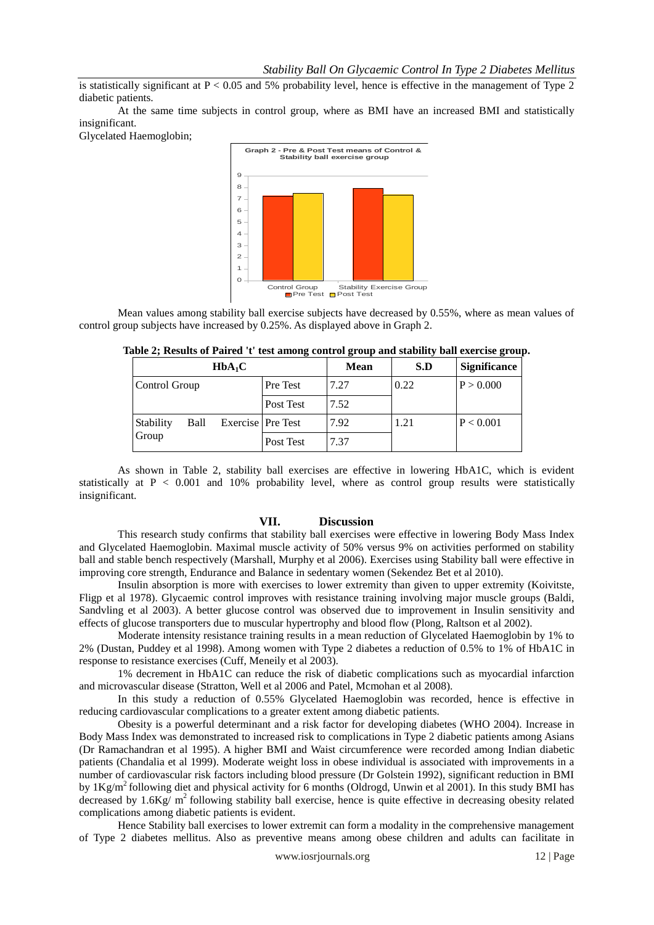is statistically significant at  $P < 0.05$  and 5% probability level, hence is effective in the management of Type 2 diabetic patients.

At the same time subjects in control group, where as BMI have an increased BMI and statistically insignificant.

Glycelated Haemoglobin;



Mean values among stability ball exercise subjects have decreased by 0.55%, where as mean values of control group subjects have increased by 0.25%. As displayed above in Graph 2.

| $HbA_1C$           |      |                     | <b>Mean</b> | S.D  | <b>Significance</b> |           |
|--------------------|------|---------------------|-------------|------|---------------------|-----------|
| Control Group      |      |                     | Pre Test    | 7.27 | 0.22                | P > 0.000 |
|                    |      |                     | Post Test   | 7.52 |                     |           |
| Stability<br>Group | Ball | Exercise   Pre Test |             | 7.92 | 1.21                | P < 0.001 |
|                    |      |                     | Post Test   | 7.37 |                     |           |

**Table 2; Results of Paired 't' test among control group and stability ball exercise group.**

As shown in Table 2, stability ball exercises are effective in lowering HbA1C, which is evident statistically at P < 0.001 and 10% probability level, where as control group results were statistically insignificant.

## **VII. Discussion**

This research study confirms that stability ball exercises were effective in lowering Body Mass Index and Glycelated Haemoglobin. Maximal muscle activity of 50% versus 9% on activities performed on stability ball and stable bench respectively (Marshall, Murphy et al 2006). Exercises using Stability ball were effective in improving core strength, Endurance and Balance in sedentary women (Sekendez Bet et al 2010).

Insulin absorption is more with exercises to lower extremity than given to upper extremity (Koivitste, Fligp et al 1978). Glycaemic control improves with resistance training involving major muscle groups (Baldi, Sandvling et al 2003). A better glucose control was observed due to improvement in Insulin sensitivity and effects of glucose transporters due to muscular hypertrophy and blood flow (Plong, Raltson et al 2002).

Moderate intensity resistance training results in a mean reduction of Glycelated Haemoglobin by 1% to 2% (Dustan, Puddey et al 1998). Among women with Type 2 diabetes a reduction of 0.5% to 1% of HbA1C in response to resistance exercises (Cuff, Meneily et al 2003).

1% decrement in HbA1C can reduce the risk of diabetic complications such as myocardial infarction and microvascular disease (Stratton, Well et al 2006 and Patel, Mcmohan et al 2008).

In this study a reduction of 0.55% Glycelated Haemoglobin was recorded, hence is effective in reducing cardiovascular complications to a greater extent among diabetic patients.

Obesity is a powerful determinant and a risk factor for developing diabetes (WHO 2004). Increase in Body Mass Index was demonstrated to increased risk to complications in Type 2 diabetic patients among Asians (Dr Ramachandran et al 1995). A higher BMI and Waist circumference were recorded among Indian diabetic patients (Chandalia et al 1999). Moderate weight loss in obese individual is associated with improvements in a number of cardiovascular risk factors including blood pressure (Dr Golstein 1992), significant reduction in BMI by 1Kg/m<sup>2</sup> following diet and physical activity for 6 months (Oldrogd, Unwin et al 2001). In this study BMI has decreased by  $1.6\text{Kg/m}^2$  following stability ball exercise, hence is quite effective in decreasing obesity related complications among diabetic patients is evident.

Hence Stability ball exercises to lower extremit can form a modality in the comprehensive management of Type 2 diabetes mellitus. Also as preventive means among obese children and adults can facilitate in